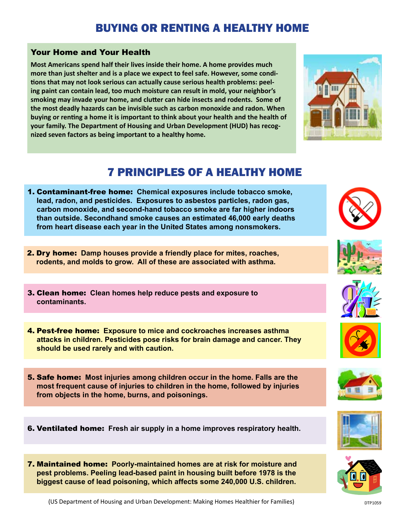## Buying or Renting a Healthy Home

## Your Home and Your Health

**Most Americans spend half their lives inside their home. A home provides much more than just shelter and is a place we expect to feel safe. However, some conditions that may not look serious can actually cause serious health problems: peeling paint can contain lead, too much moisture can result in mold, your neighbor's smoking may invade your home, and clutter can hide insects and rodents. Some of the most deadly hazards can be invisible such as carbon monoxide and radon. When buying or renting a home it is important to think about your health and the health of your family. The Department of Housing and Urban Development (HUD) has recognized seven factors as being important to a healthy home.**



## 7 Principles of a Healthy Home

- 1. Contaminant-free home: **Chemical exposures include tobacco smoke, lead, radon, and pesticides. Exposures to asbestos particles, radon gas, carbon monoxide, and second-hand tobacco smoke are far higher indoors than outside. Secondhand smoke causes an estimated 46,000 early deaths from heart disease each year in the United States among nonsmokers.**
- 2. Dry home: **Damp houses provide a friendly place for mites, roaches, rodents, and molds to grow. All of these are associated with asthma.**
- 3. Clean home: **Clean homes help reduce pests and exposure to contaminants.**
- 4. Pest-free home: **Exposure to mice and cockroaches increases asthma attacks in children. Pesticides pose risks for brain damage and cancer. They should be used rarely and with caution.**
- 5. Safe home: **Most injuries among children occur in the home. Falls are the most frequent cause of injuries to children in the home, followed by injuries from objects in the home, burns, and poisonings.**

6. Ventilated home: **Fresh air supply in a home improves respiratory health.** 

7. Maintained home: **Poorly-maintained homes are at risk for moisture and pest problems. Peeling lead-based paint in housing built before 1978 is the biggest cause of lead poisoning, which affects some 240,000 U.S. children.**













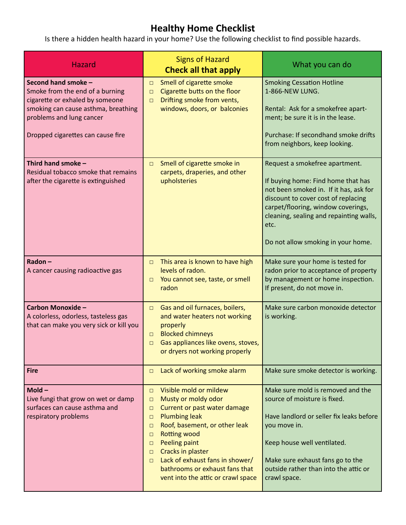## **Healthy Home Checklist**

Is there a hidden health hazard in your home? Use the following checklist to find possible hazards.

| <b>Hazard</b>                                                                                                                                                                                     | <b>Signs of Hazard</b><br><b>Check all that apply</b>                                                                                                                                                                                                                                                                                                                                                           | What you can do                                                                                                                                                                                                                                                                      |
|---------------------------------------------------------------------------------------------------------------------------------------------------------------------------------------------------|-----------------------------------------------------------------------------------------------------------------------------------------------------------------------------------------------------------------------------------------------------------------------------------------------------------------------------------------------------------------------------------------------------------------|--------------------------------------------------------------------------------------------------------------------------------------------------------------------------------------------------------------------------------------------------------------------------------------|
| Second hand smoke -<br>Smoke from the end of a burning<br>cigarette or exhaled by someone<br>smoking can cause asthma, breathing<br>problems and lung cancer<br>Dropped cigarettes can cause fire | Smell of cigarette smoke<br>$\Box$<br>Cigarette butts on the floor<br>$\Box$<br>Drifting smoke from vents,<br>$\Box$<br>windows, doors, or balconies                                                                                                                                                                                                                                                            | <b>Smoking Cessation Hotline</b><br>1-866-NEW LUNG.<br>Rental: Ask for a smokefree apart-<br>ment; be sure it is in the lease.<br>Purchase: If secondhand smoke drifts<br>from neighbors, keep looking.                                                                              |
| Third hand smoke -<br>Residual tobacco smoke that remains<br>after the cigarette is extinguished                                                                                                  | Smell of cigarette smoke in<br>$\Box$<br>carpets, draperies, and other<br>upholsteries                                                                                                                                                                                                                                                                                                                          | Request a smokefree apartment.<br>If buying home: Find home that has<br>not been smoked in. If it has, ask for<br>discount to cover cost of replacing<br>carpet/flooring, window coverings,<br>cleaning, sealing and repainting walls,<br>etc.<br>Do not allow smoking in your home. |
| Radon-<br>A cancer causing radioactive gas                                                                                                                                                        | This area is known to have high<br>$\Box$<br>levels of radon.<br>You cannot see, taste, or smell<br>$\Box$<br>radon                                                                                                                                                                                                                                                                                             | Make sure your home is tested for<br>radon prior to acceptance of property<br>by management or home inspection.<br>If present, do not move in.                                                                                                                                       |
| Carbon Monoxide -<br>A colorless, odorless, tasteless gas<br>that can make you very sick or kill you                                                                                              | Gas and oil furnaces, boilers,<br>$\Box$<br>and water heaters not working<br>properly<br><b>Blocked chimneys</b><br>$\Box$<br>Gas appliances like ovens, stoves,<br>$\Box$<br>or dryers not working properly                                                                                                                                                                                                    | Make sure carbon monoxide detector<br>is working.                                                                                                                                                                                                                                    |
| <b>Fire</b>                                                                                                                                                                                       | Lack of working smoke alarm<br>$\Box$                                                                                                                                                                                                                                                                                                                                                                           | Make sure smoke detector is working.                                                                                                                                                                                                                                                 |
| $\text{Mold}$ -<br>Live fungi that grow on wet or damp<br>surfaces can cause asthma and<br>respiratory problems                                                                                   | Visible mold or mildew<br>$\Box$<br>Musty or moldy odor<br>$\Box$<br>Current or past water damage<br>$\Box$<br><b>Plumbing leak</b><br>$\Box$<br>Roof, basement, or other leak<br>$\Box$<br><b>Rotting wood</b><br>$\Box$<br>Peeling paint<br>$\Box$<br><b>Cracks in plaster</b><br>$\Box$<br>Lack of exhaust fans in shower/<br>$\Box$<br>bathrooms or exhaust fans that<br>vent into the attic or crawl space | Make sure mold is removed and the<br>source of moisture is fixed.<br>Have landlord or seller fix leaks before<br>you move in.<br>Keep house well ventilated.<br>Make sure exhaust fans go to the<br>outside rather than into the attic or<br>crawl space.                            |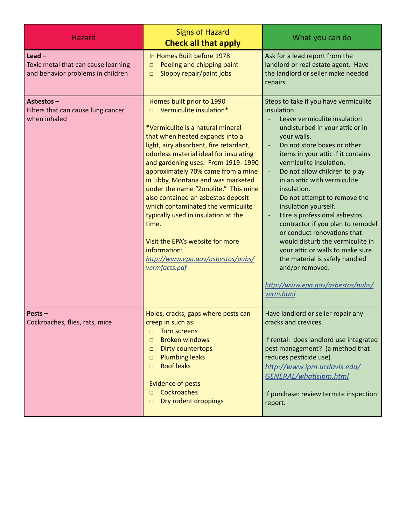| <b>Hazard</b>                                                                        | <b>Signs of Hazard</b><br><b>Check all that apply</b>                                                                                                                                                                                                                                                                                                                                                                                                                                                                                                                                                                      | What you can do                                                                                                                                                                                                                                                                                                                                                                                                                                                                                                                                                                                                                                                                                                         |
|--------------------------------------------------------------------------------------|----------------------------------------------------------------------------------------------------------------------------------------------------------------------------------------------------------------------------------------------------------------------------------------------------------------------------------------------------------------------------------------------------------------------------------------------------------------------------------------------------------------------------------------------------------------------------------------------------------------------------|-------------------------------------------------------------------------------------------------------------------------------------------------------------------------------------------------------------------------------------------------------------------------------------------------------------------------------------------------------------------------------------------------------------------------------------------------------------------------------------------------------------------------------------------------------------------------------------------------------------------------------------------------------------------------------------------------------------------------|
| $lead$ –<br>Toxic metal that can cause learning<br>and behavior problems in children | In Homes Built before 1978<br>Peeling and chipping paint<br>$\Box$<br>Sloppy repair/paint jobs<br>$\Box$                                                                                                                                                                                                                                                                                                                                                                                                                                                                                                                   | Ask for a lead report from the<br>landlord or real estate agent. Have<br>the landlord or seller make needed<br>repairs.                                                                                                                                                                                                                                                                                                                                                                                                                                                                                                                                                                                                 |
| Asbestos-<br>Fibers that can cause lung cancer<br>when inhaled                       | Homes built prior to 1990<br>Vermiculite insulation*<br>$\Box$<br>*Vermiculite is a natural mineral<br>that when heated expands into a<br>light, airy absorbent, fire retardant,<br>odorless material ideal for insulating<br>and gardening uses. From 1919-1990<br>approximately 70% came from a mine<br>in Libby, Montana and was marketed<br>under the name "Zonolite." This mine<br>also contained an asbestos deposit<br>which contaminated the vermiculite<br>typically used in insulation at the<br>time.<br>Visit the EPA's website for more<br>information:<br>http://www.epa.gov/asbestos/pubs/<br>vermfacts.pdf | Steps to take if you have vermiculite<br>insulation:<br>Leave vermiculite insulation<br>undisturbed in your attic or in<br>your walls.<br>Do not store boxes or other<br>$\overline{a}$<br>items in your attic if it contains<br>vermiculite insulation.<br>Do not allow children to play<br>$\blacksquare$<br>in an attic with vermiculite<br>insulation.<br>Do not attempt to remove the<br>insulation yourself.<br>Hire a professional asbestos<br>$\overline{a}$<br>contractor if you plan to remodel<br>or conduct renovations that<br>would disturb the vermiculite in<br>your attic or walls to make sure<br>the material is safely handled<br>and/or removed.<br>http://www.epa.gov/asbestos/pubs/<br>verm.html |
| $Pests -$<br>Cockroaches, flies, rats, mice                                          | Holes, cracks, gaps where pests can<br>creep in such as:<br><b>Torn screens</b><br>$\Box$<br><b>Broken windows</b><br>$\Box$<br><b>Dirty countertops</b><br>$\Box$<br><b>Plumbing leaks</b><br>$\Box$<br><b>Roof leaks</b><br>$\Box$<br><b>Evidence of pests</b><br>Cockroaches<br>$\Box$<br>Dry rodent droppings<br>$\Box$                                                                                                                                                                                                                                                                                                | Have landlord or seller repair any<br>cracks and crevices.<br>If rental: does landlord use integrated<br>pest management? (a method that<br>reduces pesticide use)<br>http://www.ipm.ucdavis.edu/<br><b>GENERAL/whatisipm.html</b><br>If purchase: review termite inspection<br>report.                                                                                                                                                                                                                                                                                                                                                                                                                                 |